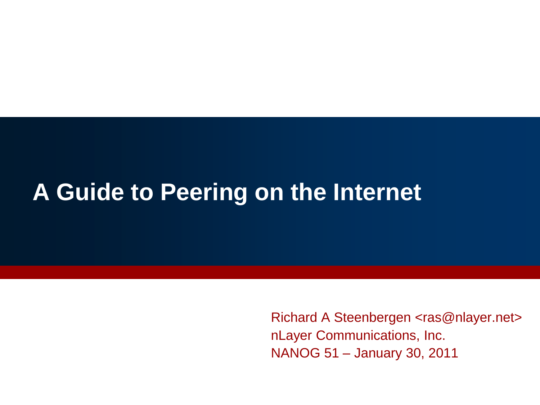#### **A Guide to Peering on the Internet**

Richard A Steenbergen <ras@nlayer.net> nLayer Communications, Inc. NANOG 51 – January 30, 2011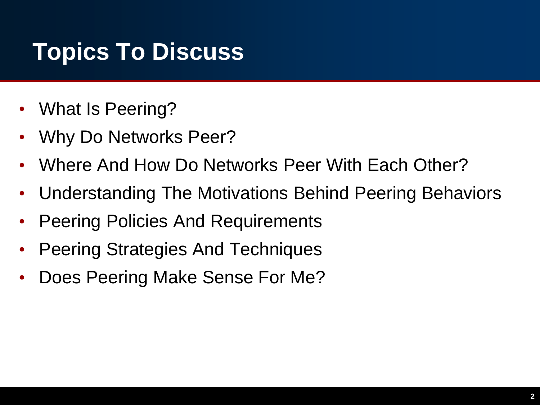## **Topics To Discuss**

- What Is Peering?
- Why Do Networks Peer?
- Where And How Do Networks Peer With Each Other?
- Understanding The Motivations Behind Peering Behaviors
- Peering Policies And Requirements
- Peering Strategies And Techniques
- Does Peering Make Sense For Me?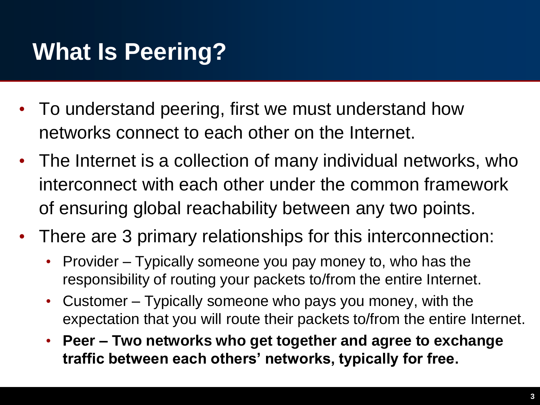## **What Is Peering?**

- To understand peering, first we must understand how networks connect to each other on the Internet.
- The Internet is a collection of many individual networks, who interconnect with each other under the common framework of ensuring global reachability between any two points.
- There are 3 primary relationships for this interconnection:
	- Provider Typically someone you pay money to, who has the responsibility of routing your packets to/from the entire Internet.
	- Customer Typically someone who pays you money, with the expectation that you will route their packets to/from the entire Internet.
	- **Peer – Two networks who get together and agree to exchange traffic between each others' networks, typically for free.**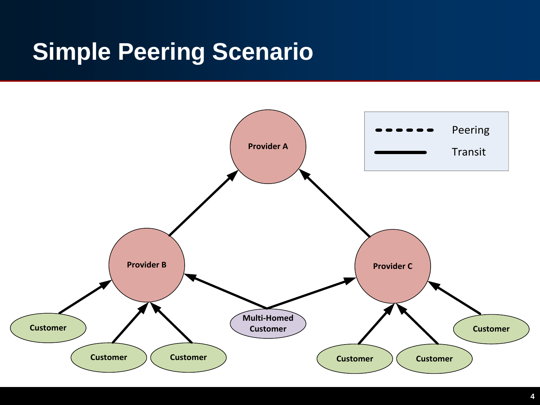## **Simple Peering Scenario**

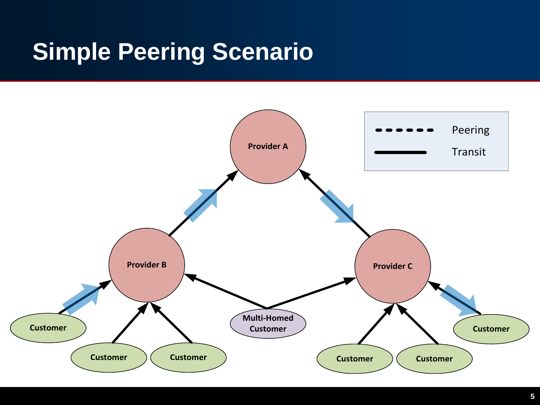## **Simple Peering Scenario**

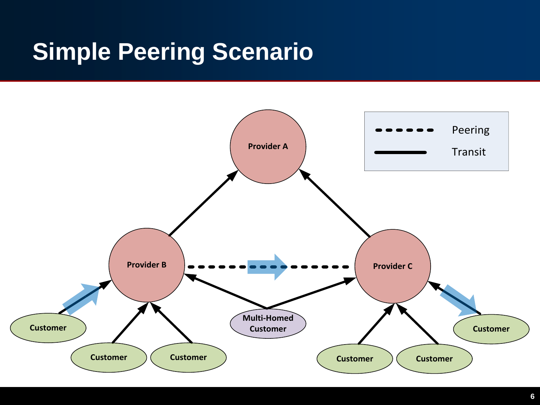## **Simple Peering Scenario**

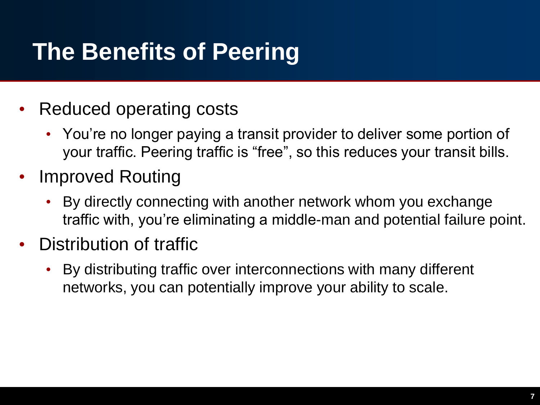## **The Benefits of Peering**

- Reduced operating costs
	- You're no longer paying a transit provider to deliver some portion of your traffic. Peering traffic is "free", so this reduces your transit bills.
- Improved Routing
	- By directly connecting with another network whom you exchange traffic with, you're eliminating a middle-man and potential failure point.
- Distribution of traffic
	- By distributing traffic over interconnections with many different networks, you can potentially improve your ability to scale.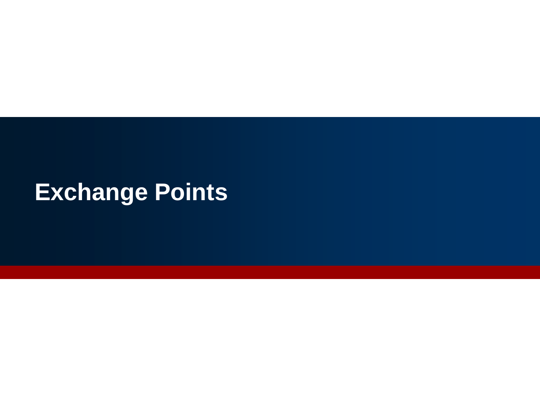## **Exchange Points**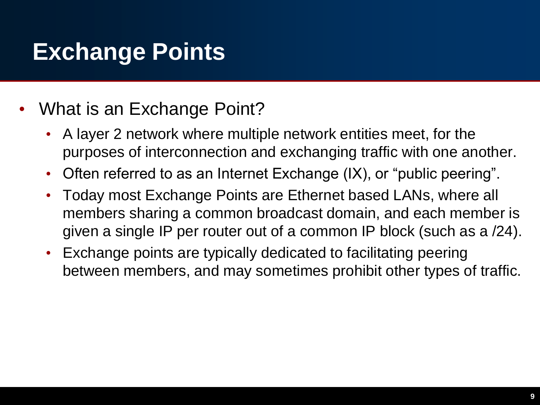## **Exchange Points**

- What is an Exchange Point?
	- A layer 2 network where multiple network entities meet, for the purposes of interconnection and exchanging traffic with one another.
	- Often referred to as an Internet Exchange (IX), or "public peering".
	- Today most Exchange Points are Ethernet based LANs, where all members sharing a common broadcast domain, and each member is given a single IP per router out of a common IP block (such as a /24).
	- Exchange points are typically dedicated to facilitating peering between members, and may sometimes prohibit other types of traffic.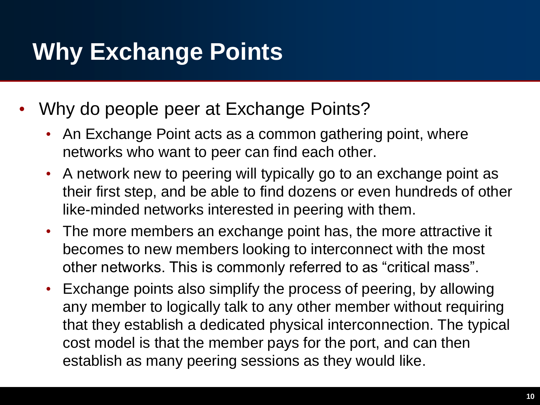## **Why Exchange Points**

- Why do people peer at Exchange Points?
	- An Exchange Point acts as a common gathering point, where networks who want to peer can find each other.
	- A network new to peering will typically go to an exchange point as their first step, and be able to find dozens or even hundreds of other like-minded networks interested in peering with them.
	- The more members an exchange point has, the more attractive it becomes to new members looking to interconnect with the most other networks. This is commonly referred to as "critical mass".
	- Exchange points also simplify the process of peering, by allowing any member to logically talk to any other member without requiring that they establish a dedicated physical interconnection. The typical cost model is that the member pays for the port, and can then establish as many peering sessions as they would like.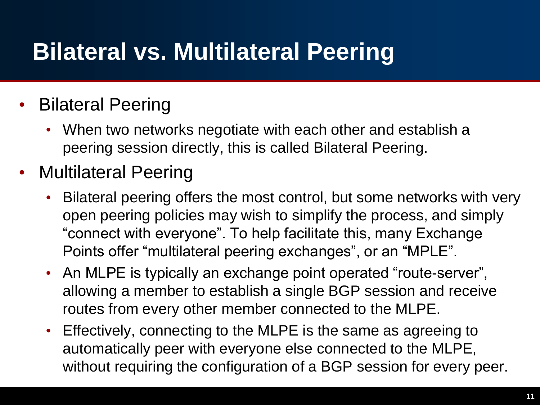## **Bilateral vs. Multilateral Peering**

#### • Bilateral Peering

- When two networks negotiate with each other and establish a peering session directly, this is called Bilateral Peering.
- Multilateral Peering
	- Bilateral peering offers the most control, but some networks with very open peering policies may wish to simplify the process, and simply "connect with everyone". To help facilitate this, many Exchange Points offer "multilateral peering exchanges", or an "MPLE".
	- An MLPE is typically an exchange point operated "route-server", allowing a member to establish a single BGP session and receive routes from every other member connected to the MLPE.
	- Effectively, connecting to the MLPE is the same as agreeing to automatically peer with everyone else connected to the MLPE, without requiring the configuration of a BGP session for every peer.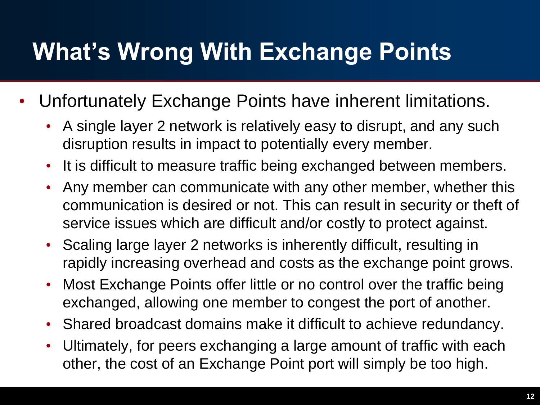## **What's Wrong With Exchange Points**

- Unfortunately Exchange Points have inherent limitations.
	- A single layer 2 network is relatively easy to disrupt, and any such disruption results in impact to potentially every member.
	- It is difficult to measure traffic being exchanged between members.
	- Any member can communicate with any other member, whether this communication is desired or not. This can result in security or theft of service issues which are difficult and/or costly to protect against.
	- Scaling large layer 2 networks is inherently difficult, resulting in rapidly increasing overhead and costs as the exchange point grows.
	- Most Exchange Points offer little or no control over the traffic being exchanged, allowing one member to congest the port of another.
	- Shared broadcast domains make it difficult to achieve redundancy.
	- Ultimately, for peers exchanging a large amount of traffic with each other, the cost of an Exchange Point port will simply be too high.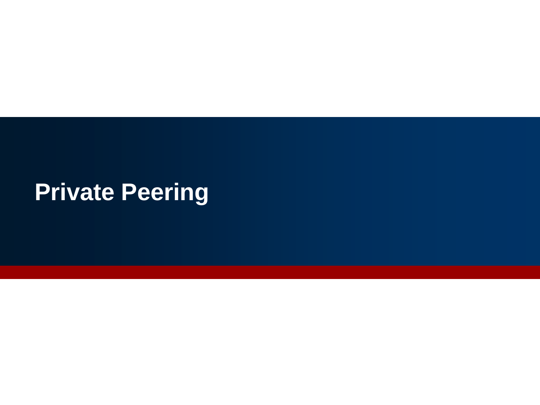## **Private Peering**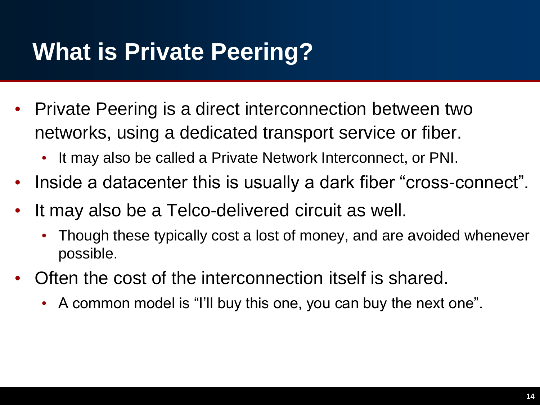## **What is Private Peering?**

- Private Peering is a direct interconnection between two networks, using a dedicated transport service or fiber.
	- It may also be called a Private Network Interconnect, or PNI.
- Inside a datacenter this is usually a dark fiber "cross-connect".
- It may also be a Telco-delivered circuit as well.
	- Though these typically cost a lost of money, and are avoided whenever possible.
- Often the cost of the interconnection itself is shared.
	- A common model is "I'll buy this one, you can buy the next one".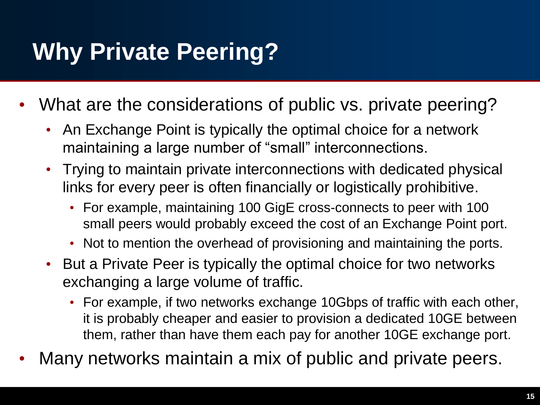## **Why Private Peering?**

- What are the considerations of public vs. private peering?
	- An Exchange Point is typically the optimal choice for a network maintaining a large number of "small" interconnections.
	- Trying to maintain private interconnections with dedicated physical links for every peer is often financially or logistically prohibitive.
		- For example, maintaining 100 GigE cross-connects to peer with 100 small peers would probably exceed the cost of an Exchange Point port.
		- Not to mention the overhead of provisioning and maintaining the ports.
	- But a Private Peer is typically the optimal choice for two networks exchanging a large volume of traffic.
		- For example, if two networks exchange 10Gbps of traffic with each other, it is probably cheaper and easier to provision a dedicated 10GE between them, rather than have them each pay for another 10GE exchange port.
- Many networks maintain a mix of public and private peers.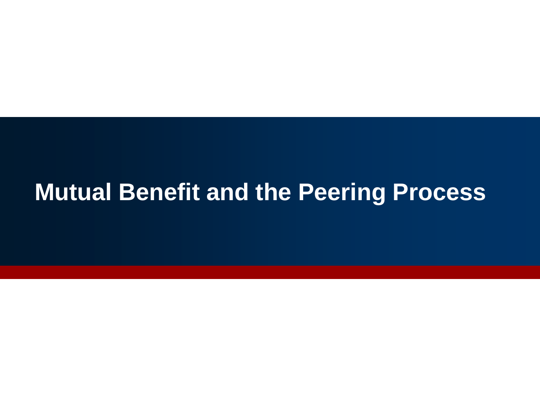#### **Mutual Benefit and the Peering Process**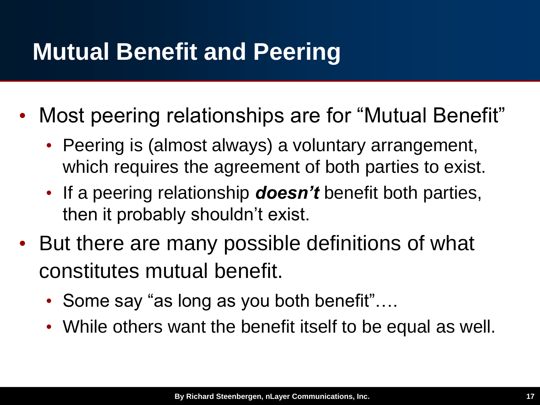### **Mutual Benefit and Peering**

- Most peering relationships are for "Mutual Benefit"
	- Peering is (almost always) a voluntary arrangement, which requires the agreement of both parties to exist.
	- If a peering relationship *doesn't* benefit both parties, then it probably shouldn't exist.
- But there are many possible definitions of what constitutes mutual benefit.
	- Some say "as long as you both benefit"....
	- While others want the benefit itself to be equal as well.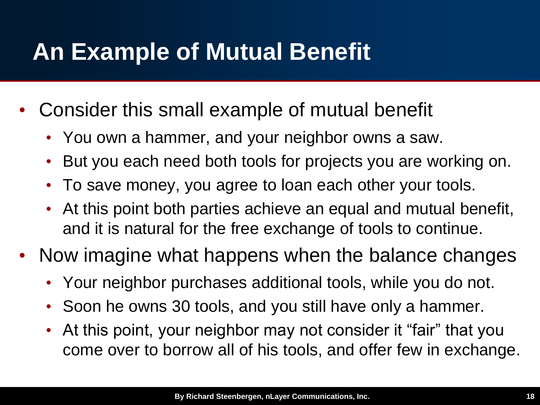## **An Example of Mutual Benefit**

- Consider this small example of mutual benefit
	- You own a hammer, and your neighbor owns a saw.
	- But you each need both tools for projects you are working on.
	- To save money, you agree to loan each other your tools.
	- At this point both parties achieve an equal and mutual benefit, and it is natural for the free exchange of tools to continue.
- Now imagine what happens when the balance changes
	- Your neighbor purchases additional tools, while you do not.
	- Soon he owns 30 tools, and you still have only a hammer.
	- At this point, your neighbor may not consider it "fair" that you come over to borrow all of his tools, and offer few in exchange.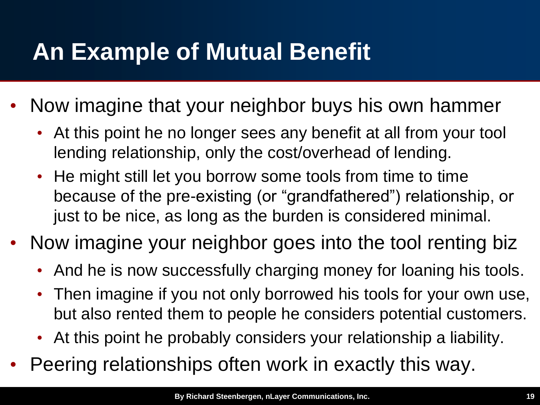## **An Example of Mutual Benefit**

- Now imagine that your neighbor buys his own hammer
	- At this point he no longer sees any benefit at all from your tool lending relationship, only the cost/overhead of lending.
	- He might still let you borrow some tools from time to time because of the pre-existing (or "grandfathered") relationship, or just to be nice, as long as the burden is considered minimal.
- Now imagine your neighbor goes into the tool renting biz
	- And he is now successfully charging money for loaning his tools.
	- Then imagine if you not only borrowed his tools for your own use, but also rented them to people he considers potential customers.
	- At this point he probably considers your relationship a liability.
- Peering relationships often work in exactly this way.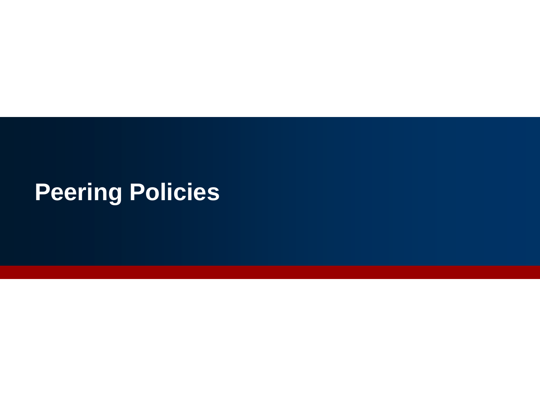# **Peering Policies**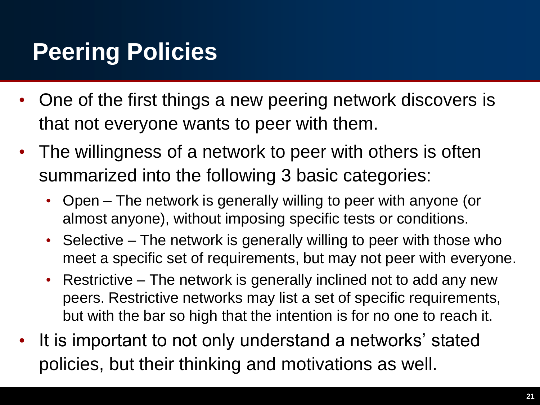## **Peering Policies**

- One of the first things a new peering network discovers is that not everyone wants to peer with them.
- The willingness of a network to peer with others is often summarized into the following 3 basic categories:
	- Open The network is generally willing to peer with anyone (or almost anyone), without imposing specific tests or conditions.
	- Selective The network is generally willing to peer with those who meet a specific set of requirements, but may not peer with everyone.
	- Restrictive The network is generally inclined not to add any new peers. Restrictive networks may list a set of specific requirements, but with the bar so high that the intention is for no one to reach it.
- It is important to not only understand a networks' stated policies, but their thinking and motivations as well.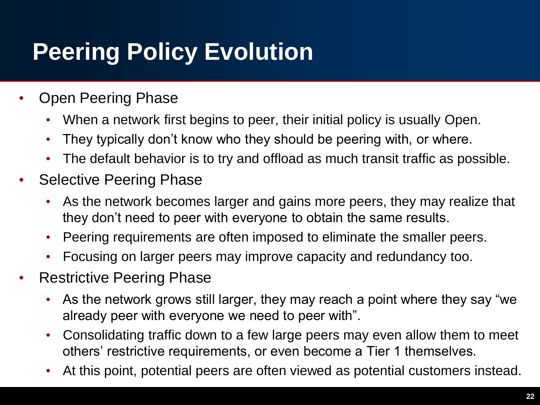## **Peering Policy Evolution**

- Open Peering Phase
	- When a network first begins to peer, their initial policy is usually Open.
	- They typically don't know who they should be peering with, or where.
	- The default behavior is to try and offload as much transit traffic as possible.
- Selective Peering Phase
	- As the network becomes larger and gains more peers, they may realize that they don't need to peer with everyone to obtain the same results.
	- Peering requirements are often imposed to eliminate the smaller peers.
	- Focusing on larger peers may improve capacity and redundancy too.
- Restrictive Peering Phase
	- As the network grows still larger, they may reach a point where they say "we already peer with everyone we need to peer with".
	- Consolidating traffic down to a few large peers may even allow them to meet others' restrictive requirements, or even become a Tier 1 themselves.
	- At this point, potential peers are often viewed as potential customers instead.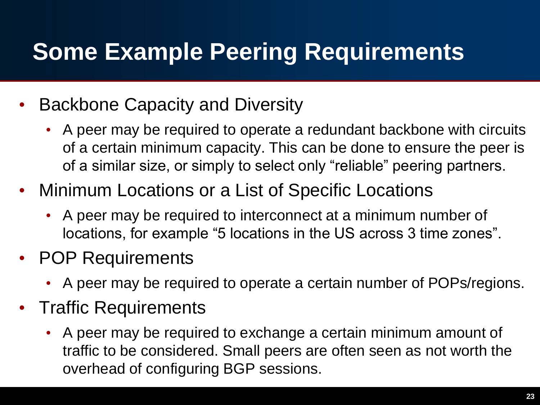## **Some Example Peering Requirements**

- Backbone Capacity and Diversity
	- A peer may be required to operate a redundant backbone with circuits of a certain minimum capacity. This can be done to ensure the peer is of a similar size, or simply to select only "reliable" peering partners.
- Minimum Locations or a List of Specific Locations
	- A peer may be required to interconnect at a minimum number of locations, for example "5 locations in the US across 3 time zones".
- POP Requirements
	- A peer may be required to operate a certain number of POPs/regions.
- Traffic Requirements
	- A peer may be required to exchange a certain minimum amount of traffic to be considered. Small peers are often seen as not worth the overhead of configuring BGP sessions.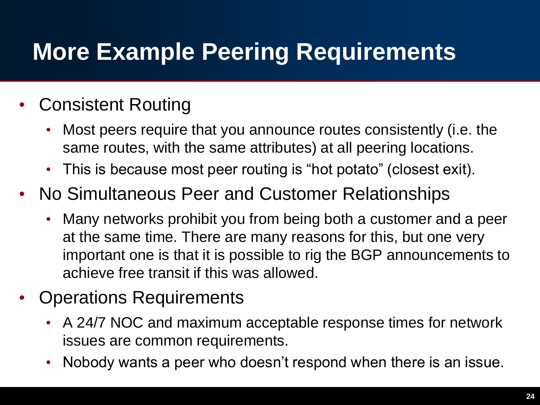## **More Example Peering Requirements**

#### • Consistent Routing

- Most peers require that you announce routes consistently (i.e. the same routes, with the same attributes) at all peering locations.
- This is because most peer routing is "hot potato" (closest exit).
- No Simultaneous Peer and Customer Relationships
	- Many networks prohibit you from being both a customer and a peer at the same time. There are many reasons for this, but one very important one is that it is possible to rig the BGP announcements to achieve free transit if this was allowed.
- Operations Requirements
	- A 24/7 NOC and maximum acceptable response times for network issues are common requirements.
	- Nobody wants a peer who doesn't respond when there is an issue.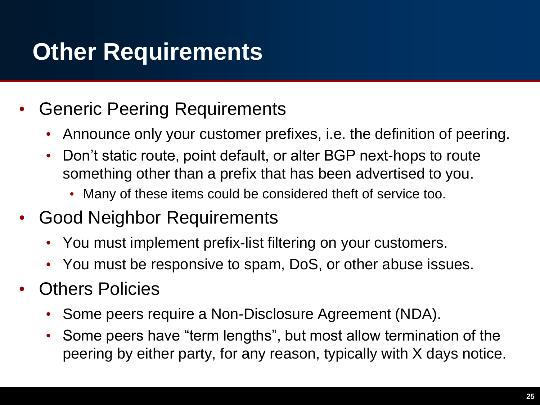## **Other Requirements**

- Generic Peering Requirements
	- Announce only your customer prefixes, i.e. the definition of peering.
	- Don't static route, point default, or alter BGP next-hops to route something other than a prefix that has been advertised to you.
		- Many of these items could be considered theft of service too.
- Good Neighbor Requirements
	- You must implement prefix-list filtering on your customers.
	- You must be responsive to spam, DoS, or other abuse issues.
- Others Policies
	- Some peers require a Non-Disclosure Agreement (NDA).
	- Some peers have "term lengths", but most allow termination of the peering by either party, for any reason, typically with X days notice.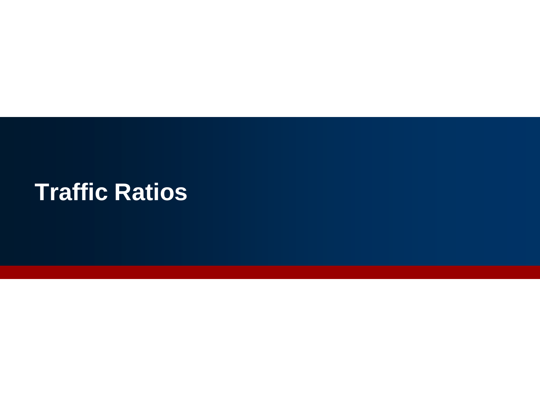#### **Traffic Ratios**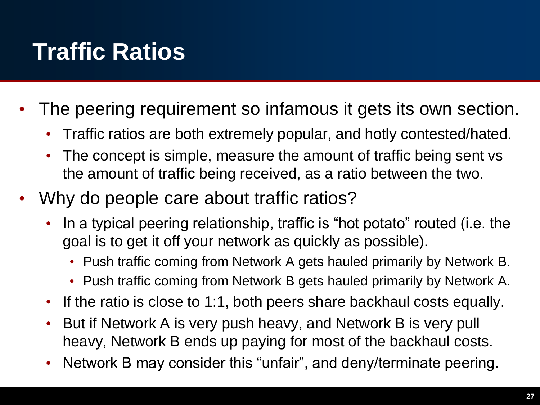## **Traffic Ratios**

- The peering requirement so infamous it gets its own section.
	- Traffic ratios are both extremely popular, and hotly contested/hated.
	- The concept is simple, measure the amount of traffic being sent vs the amount of traffic being received, as a ratio between the two.
- Why do people care about traffic ratios?
	- In a typical peering relationship, traffic is "hot potato" routed (i.e. the goal is to get it off your network as quickly as possible).
		- Push traffic coming from Network A gets hauled primarily by Network B.
		- Push traffic coming from Network B gets hauled primarily by Network A.
	- If the ratio is close to 1:1, both peers share backhaul costs equally.
	- But if Network A is very push heavy, and Network B is very pull heavy, Network B ends up paying for most of the backhaul costs.
	- Network B may consider this "unfair", and deny/terminate peering.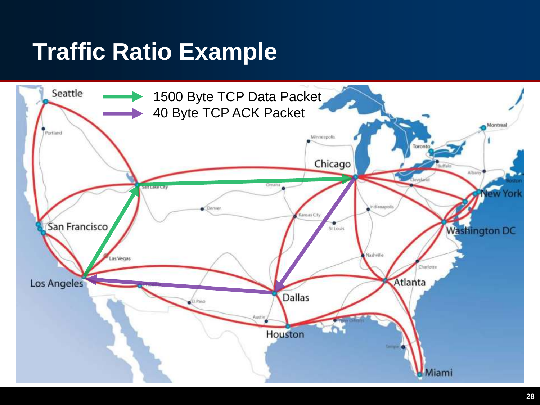## **Traffic Ratio Example**

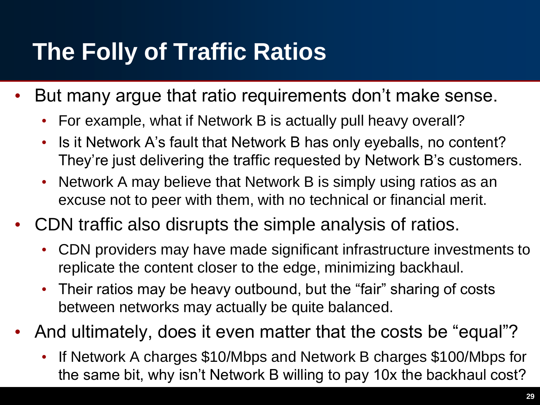## **The Folly of Traffic Ratios**

- But many argue that ratio requirements don't make sense.
	- For example, what if Network B is actually pull heavy overall?
	- Is it Network A's fault that Network B has only eyeballs, no content? They're just delivering the traffic requested by Network B's customers.
	- Network A may believe that Network B is simply using ratios as an excuse not to peer with them, with no technical or financial merit.
- CDN traffic also disrupts the simple analysis of ratios.
	- CDN providers may have made significant infrastructure investments to replicate the content closer to the edge, minimizing backhaul.
	- Their ratios may be heavy outbound, but the "fair" sharing of costs between networks may actually be quite balanced.
- And ultimately, does it even matter that the costs be "equal"?
	- If Network A charges \$10/Mbps and Network B charges \$100/Mbps for the same bit, why isn't Network B willing to pay 10x the backhaul cost?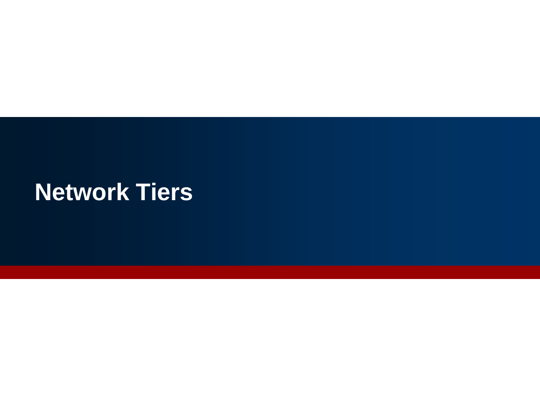#### **Network Tiers**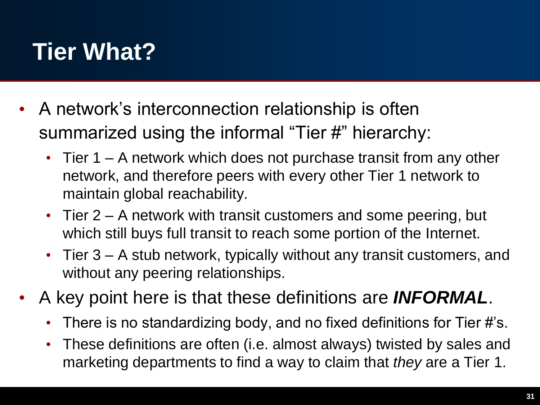## **Tier What?**

- A network's interconnection relationship is often summarized using the informal "Tier #" hierarchy:
	- Tier 1 A network which does not purchase transit from any other network, and therefore peers with every other Tier 1 network to maintain global reachability.
	- Tier 2 A network with transit customers and some peering, but which still buys full transit to reach some portion of the Internet.
	- Tier 3 A stub network, typically without any transit customers, and without any peering relationships.
- A key point here is that these definitions are *INFORMAL*.
	- There is no standardizing body, and no fixed definitions for Tier #'s.
	- These definitions are often (i.e. almost always) twisted by sales and marketing departments to find a way to claim that *they* are a Tier 1.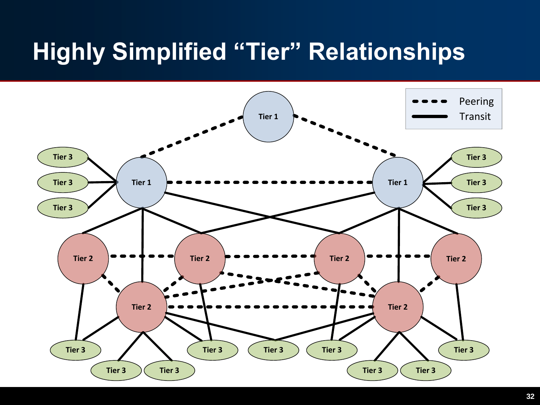## **Highly Simplified "Tier" Relationships**

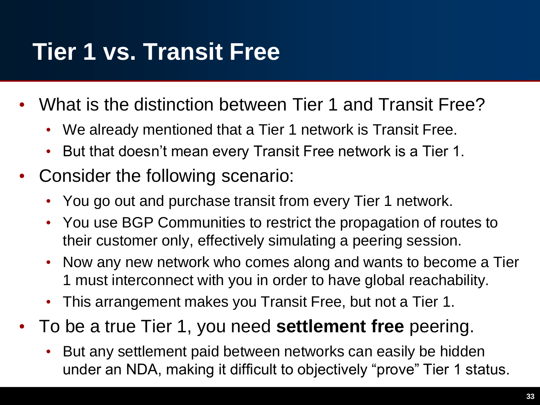## **Tier 1 vs. Transit Free**

- What is the distinction between Tier 1 and Transit Free?
	- We already mentioned that a Tier 1 network is Transit Free.
	- But that doesn't mean every Transit Free network is a Tier 1.
- Consider the following scenario:
	- You go out and purchase transit from every Tier 1 network.
	- You use BGP Communities to restrict the propagation of routes to their customer only, effectively simulating a peering session.
	- Now any new network who comes along and wants to become a Tier 1 must interconnect with you in order to have global reachability.
	- This arrangement makes you Transit Free, but not a Tier 1.
- To be a true Tier 1, you need **settlement free** peering.
	- But any settlement paid between networks can easily be hidden under an NDA, making it difficult to objectively "prove" Tier 1 status.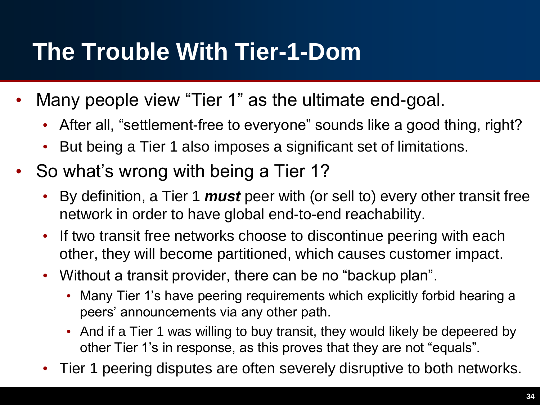## **The Trouble With Tier-1-Dom**

- Many people view "Tier 1" as the ultimate end-goal.
	- After all, "settlement-free to everyone" sounds like a good thing, right?
	- But being a Tier 1 also imposes a significant set of limitations.
- So what's wrong with being a Tier 1?
	- By definition, a Tier 1 *must* peer with (or sell to) every other transit free network in order to have global end-to-end reachability.
	- If two transit free networks choose to discontinue peering with each other, they will become partitioned, which causes customer impact.
	- Without a transit provider, there can be no "backup plan".
		- Many Tier 1's have peering requirements which explicitly forbid hearing a peers' announcements via any other path.
		- And if a Tier 1 was willing to buy transit, they would likely be depeered by other Tier 1's in response, as this proves that they are not "equals".
	- Tier 1 peering disputes are often severely disruptive to both networks.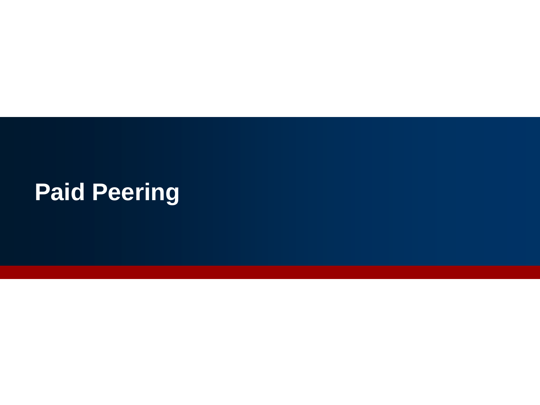## **Paid Peering**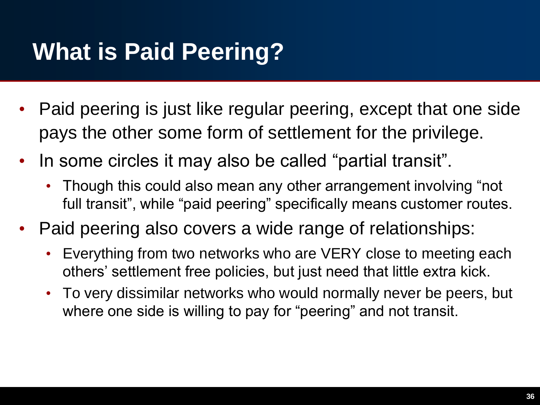## **What is Paid Peering?**

- Paid peering is just like regular peering, except that one side pays the other some form of settlement for the privilege.
- In some circles it may also be called "partial transit".
	- Though this could also mean any other arrangement involving "not full transit", while "paid peering" specifically means customer routes.
- Paid peering also covers a wide range of relationships:
	- Everything from two networks who are VERY close to meeting each others' settlement free policies, but just need that little extra kick.
	- To very dissimilar networks who would normally never be peers, but where one side is willing to pay for "peering" and not transit.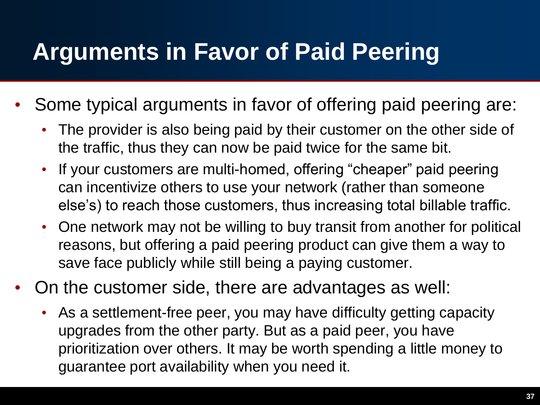#### **Arguments in Favor of Paid Peering**

- Some typical arguments in favor of offering paid peering are:
	- The provider is also being paid by their customer on the other side of the traffic, thus they can now be paid twice for the same bit.
	- If your customers are multi-homed, offering "cheaper" paid peering can incentivize others to use your network (rather than someone else's) to reach those customers, thus increasing total billable traffic.
	- One network may not be willing to buy transit from another for political reasons, but offering a paid peering product can give them a way to save face publicly while still being a paying customer.
- On the customer side, there are advantages as well:
	- As a settlement-free peer, you may have difficulty getting capacity upgrades from the other party. But as a paid peer, you have prioritization over others. It may be worth spending a little money to guarantee port availability when you need it.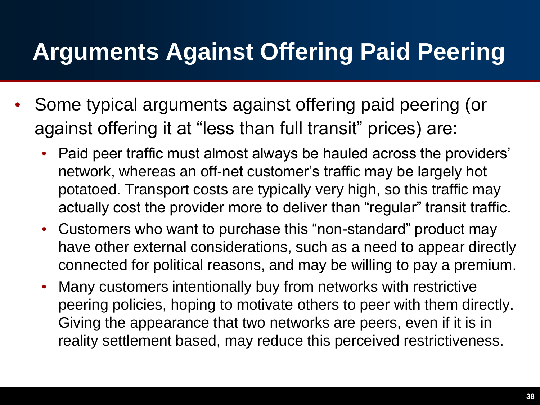## **Arguments Against Offering Paid Peering**

- Some typical arguments against offering paid peering (or against offering it at "less than full transit" prices) are:
	- Paid peer traffic must almost always be hauled across the providers' network, whereas an off-net customer's traffic may be largely hot potatoed. Transport costs are typically very high, so this traffic may actually cost the provider more to deliver than "regular" transit traffic.
	- Customers who want to purchase this "non-standard" product may have other external considerations, such as a need to appear directly connected for political reasons, and may be willing to pay a premium.
	- Many customers intentionally buy from networks with restrictive peering policies, hoping to motivate others to peer with them directly. Giving the appearance that two networks are peers, even if it is in reality settlement based, may reduce this perceived restrictiveness.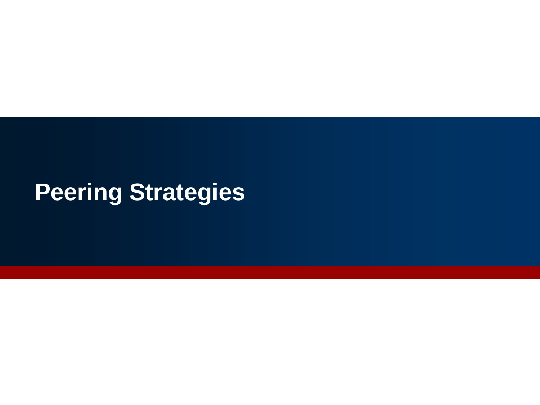### **Peering Strategies**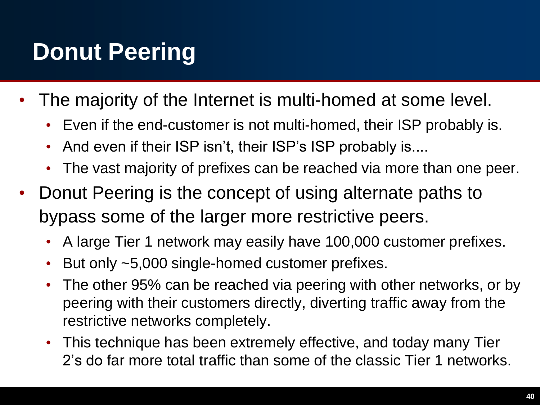## **Donut Peering**

- The majority of the Internet is multi-homed at some level.
	- Even if the end-customer is not multi-homed, their ISP probably is.
	- And even if their ISP isn't, their ISP's ISP probably is....
	- The vast majority of prefixes can be reached via more than one peer.
- Donut Peering is the concept of using alternate paths to bypass some of the larger more restrictive peers.
	- A large Tier 1 network may easily have 100,000 customer prefixes.
	- But only ~5,000 single-homed customer prefixes.
	- The other 95% can be reached via peering with other networks, or by peering with their customers directly, diverting traffic away from the restrictive networks completely.
	- This technique has been extremely effective, and today many Tier 2's do far more total traffic than some of the classic Tier 1 networks.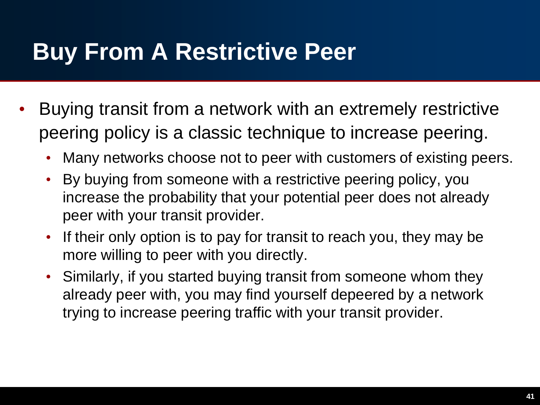## **Buy From A Restrictive Peer**

- Buying transit from a network with an extremely restrictive peering policy is a classic technique to increase peering.
	- Many networks choose not to peer with customers of existing peers.
	- By buying from someone with a restrictive peering policy, you increase the probability that your potential peer does not already peer with your transit provider.
	- If their only option is to pay for transit to reach you, they may be more willing to peer with you directly.
	- Similarly, if you started buying transit from someone whom they already peer with, you may find yourself depeered by a network trying to increase peering traffic with your transit provider.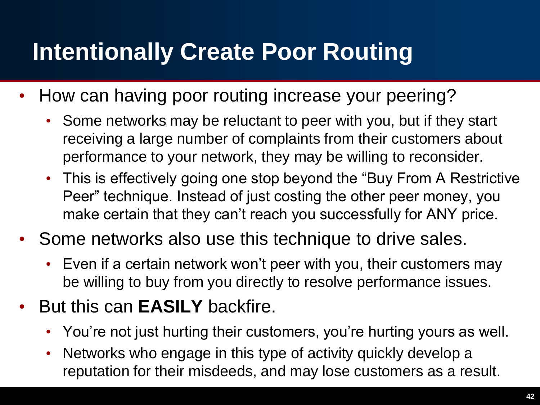## **Intentionally Create Poor Routing**

- How can having poor routing increase your peering?
	- Some networks may be reluctant to peer with you, but if they start receiving a large number of complaints from their customers about performance to your network, they may be willing to reconsider.
	- This is effectively going one stop beyond the "Buy From A Restrictive Peer" technique. Instead of just costing the other peer money, you make certain that they can't reach you successfully for ANY price.
- Some networks also use this technique to drive sales.
	- Even if a certain network won't peer with you, their customers may be willing to buy from you directly to resolve performance issues.
- But this can **EASILY** backfire.
	- You're not just hurting their customers, you're hurting yours as well.
	- Networks who engage in this type of activity quickly develop a reputation for their misdeeds, and may lose customers as a result.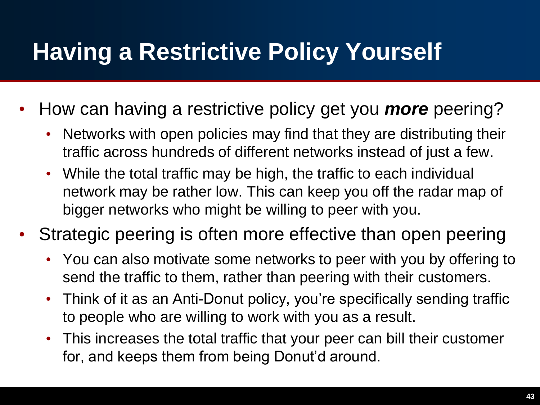## **Having a Restrictive Policy Yourself**

- How can having a restrictive policy get you *more* peering?
	- Networks with open policies may find that they are distributing their traffic across hundreds of different networks instead of just a few.
	- While the total traffic may be high, the traffic to each individual network may be rather low. This can keep you off the radar map of bigger networks who might be willing to peer with you.
- Strategic peering is often more effective than open peering
	- You can also motivate some networks to peer with you by offering to send the traffic to them, rather than peering with their customers.
	- Think of it as an Anti-Donut policy, you're specifically sending traffic to people who are willing to work with you as a result.
	- This increases the total traffic that your peer can bill their customer for, and keeps them from being Donut'd around.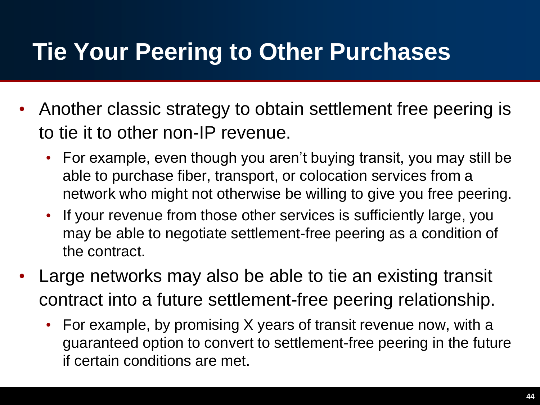## **Tie Your Peering to Other Purchases**

- Another classic strategy to obtain settlement free peering is to tie it to other non-IP revenue.
	- For example, even though you aren't buying transit, you may still be able to purchase fiber, transport, or colocation services from a network who might not otherwise be willing to give you free peering.
	- If your revenue from those other services is sufficiently large, you may be able to negotiate settlement-free peering as a condition of the contract.
- Large networks may also be able to tie an existing transit contract into a future settlement-free peering relationship.
	- For example, by promising X years of transit revenue now, with a guaranteed option to convert to settlement-free peering in the future if certain conditions are met.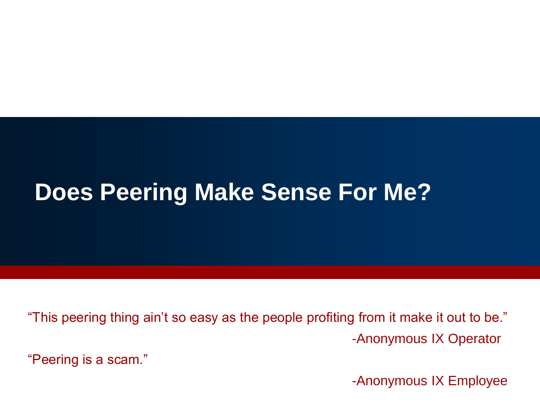#### **Does Peering Make Sense For Me?**

"This peering thing ain't so easy as the people profiting from it make it out to be." -Anonymous IX Operator

"Peering is a scam."

-Anonymous IX Employee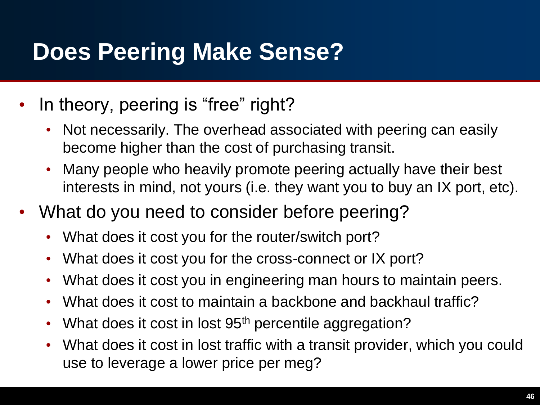## **Does Peering Make Sense?**

- In theory, peering is "free" right?
	- Not necessarily. The overhead associated with peering can easily become higher than the cost of purchasing transit.
	- Many people who heavily promote peering actually have their best interests in mind, not yours (i.e. they want you to buy an IX port, etc).
- What do you need to consider before peering?
	- What does it cost you for the router/switch port?
	- What does it cost you for the cross-connect or IX port?
	- What does it cost you in engineering man hours to maintain peers.
	- What does it cost to maintain a backbone and backhaul traffic?
	- What does it cost in lost 95<sup>th</sup> percentile aggregation?
	- What does it cost in lost traffic with a transit provider, which you could use to leverage a lower price per meg?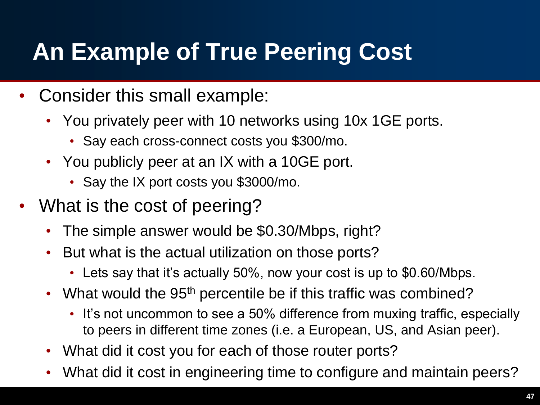## **An Example of True Peering Cost**

- Consider this small example:
	- You privately peer with 10 networks using 10x 1GE ports.
		- Say each cross-connect costs you \$300/mo.
	- You publicly peer at an IX with a 10GE port.
		- Say the IX port costs you \$3000/mo.
- What is the cost of peering?
	- The simple answer would be \$0.30/Mbps, right?
	- But what is the actual utilization on those ports?
		- Lets say that it's actually 50%, now your cost is up to \$0.60/Mbps.
	- What would the 95<sup>th</sup> percentile be if this traffic was combined?
		- It's not uncommon to see a 50% difference from muxing traffic, especially to peers in different time zones (i.e. a European, US, and Asian peer).
	- What did it cost you for each of those router ports?
	- What did it cost in engineering time to configure and maintain peers?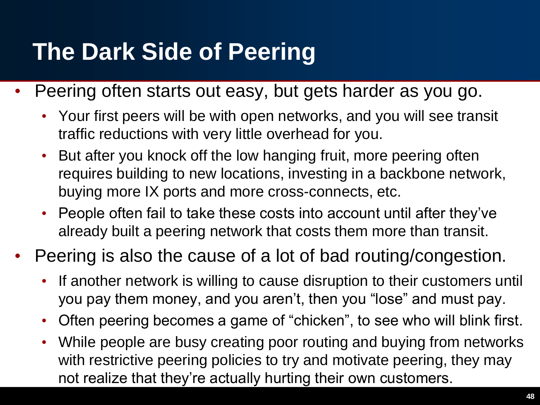## **The Dark Side of Peering**

- Peering often starts out easy, but gets harder as you go.
	- Your first peers will be with open networks, and you will see transit traffic reductions with very little overhead for you.
	- But after you knock off the low hanging fruit, more peering often requires building to new locations, investing in a backbone network, buying more IX ports and more cross-connects, etc.
	- People often fail to take these costs into account until after they've already built a peering network that costs them more than transit.
- Peering is also the cause of a lot of bad routing/congestion.
	- If another network is willing to cause disruption to their customers until you pay them money, and you aren't, then you "lose" and must pay.
	- Often peering becomes a game of "chicken", to see who will blink first.
	- While people are busy creating poor routing and buying from networks with restrictive peering policies to try and motivate peering, they may not realize that they're actually hurting their own customers.